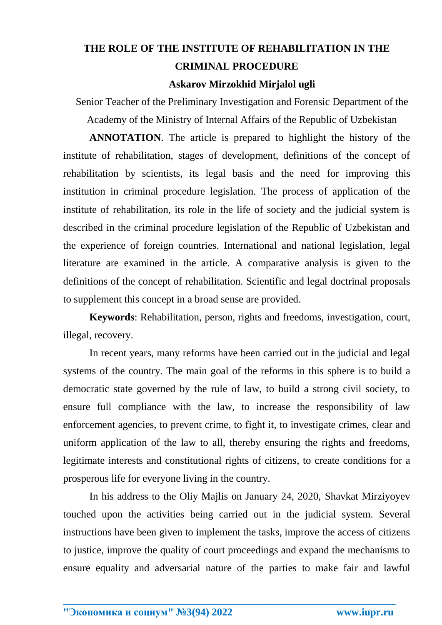## **THE ROLE OF THE INSTITUTE OF REHABILITATION IN THE CRIMINAL PROCEDURE**

## **Askarov Mirzokhid Mirjalol ugli**

Senior Teacher of the Preliminary Investigation and Forensic Department of the Academy of the Ministry of Internal Affairs of the Republic of Uzbekistan

**ANNOTATION**. The article is prepared to highlight the history of the institute of rehabilitation, stages of development, definitions of the concept of rehabilitation by scientists, its legal basis and the need for improving this institution in criminal procedure legislation. The process of application of the institute of rehabilitation, its role in the life of society and the judicial system is described in the criminal procedure legislation of the Republic of Uzbekistan and the experience of foreign countries. International and national legislation, legal literature are examined in the article. A comparative analysis is given to the definitions of the concept of rehabilitation. Scientific and legal doctrinal proposals to supplement this concept in a broad sense are provided.

**Keywords**: Rehabilitation, person, rights and freedoms, investigation, court, illegal, recovery.

In recent years, many reforms have been carried out in the judicial and legal systems of the country. The main goal of the reforms in this sphere is to build a democratic state governed by the rule of law, to build a strong civil society, to ensure full compliance with the law, to increase the responsibility of law enforcement agencies, to prevent crime, to fight it, to investigate crimes, clear and uniform application of the law to all, thereby ensuring the rights and freedoms, legitimate interests and constitutional rights of citizens, to create conditions for a prosperous life for everyone living in the country.

In his address to the Oliy Majlis on January 24, 2020, Shavkat Mirziyoyev touched upon the activities being carried out in the judicial system. Several instructions have been given to implement the tasks, improve the access of citizens to justice, improve the quality of court proceedings and expand the mechanisms to ensure equality and adversarial nature of the parties to make fair and lawful

**\_\_\_\_\_\_\_\_\_\_\_\_\_\_\_\_\_\_\_\_\_\_\_\_\_\_\_\_\_\_\_\_\_\_\_\_\_\_\_\_\_\_\_\_\_\_\_\_\_\_\_\_\_\_\_\_\_\_\_\_\_\_\_\_**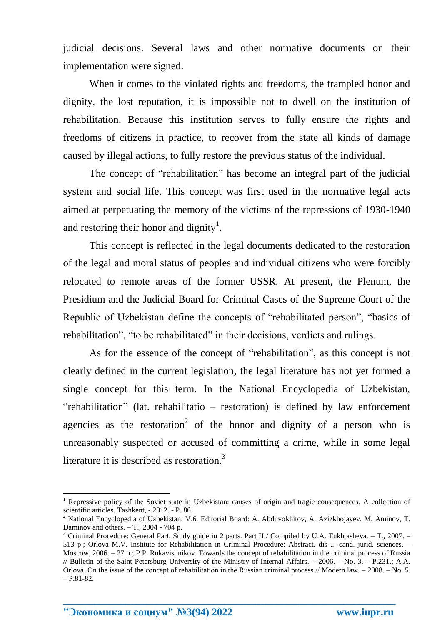judicial decisions. Several laws and other normative documents on their implementation were signed.

When it comes to the violated rights and freedoms, the trampled honor and dignity, the lost reputation, it is impossible not to dwell on the institution of rehabilitation. Because this institution serves to fully ensure the rights and freedoms of citizens in practice, to recover from the state all kinds of damage caused by illegal actions, to fully restore the previous status of the individual.

The concept of "rehabilitation" has become an integral part of the judicial system and social life. This concept was first used in the normative legal acts aimed at perpetuating the memory of the victims of the repressions of 1930-1940 and restoring their honor and dignity<sup>1</sup>.

This concept is reflected in the legal documents dedicated to the restoration of the legal and moral status of peoples and individual citizens who were forcibly relocated to remote areas of the former USSR. At present, the Plenum, the Presidium and the Judicial Board for Criminal Cases of the Supreme Court of the Republic of Uzbekistan define the concepts of "rehabilitated person", "basics of rehabilitation", "to be rehabilitated" in their decisions, verdicts and rulings.

As for the essence of the concept of "rehabilitation", as this concept is not clearly defined in the current legislation, the legal literature has not yet formed a single concept for this term. In the National Encyclopedia of Uzbekistan, "rehabilitation" (lat. rehabilitatio – restoration) is defined by law enforcement agencies as the restoration<sup>2</sup> of the honor and dignity of a person who is unreasonably suspected or accused of committing a crime, while in some legal literature it is described as restoration.<sup>3</sup>

**\_\_\_\_\_\_\_\_\_\_\_\_\_\_\_\_\_\_\_\_\_\_\_\_\_\_\_\_\_\_\_\_\_\_\_\_\_\_\_\_\_\_\_\_\_\_\_\_\_\_\_\_\_\_\_\_\_\_\_\_\_\_\_\_**

**"Экономика и социум" №3(94) 2022 www.iupr.ru**

1

<sup>&</sup>lt;sup>1</sup> Repressive policy of the Soviet state in Uzbekistan: causes of origin and tragic consequences. A collection of scientific articles. Tashkent, - 2012. - P. 86.

<sup>2</sup> National Encyclopedia of Uzbekistan. V.6. Editorial Board: A. Abduvokhitov, A. Azizkhojayev, M. Aminov, T. Daminov and others.  $-$  T., 2004 - 704 p.

<sup>&</sup>lt;sup>3</sup> Criminal Procedure: General Part. Study guide in 2 parts. Part II / Compiled by U.A. Tukhtasheva.  $-$  T., 2007.  $-$ 513 p.; Orlova M.V. Institute for Rehabilitation in Criminal Procedure: Abstract. dis ... cand. jurid. sciences. – Moscow, 2006. – 27 p.; P.P. Rukavishnikov. Towards the concept of rehabilitation in the criminal process of Russia // Bulletin of the Saint Petersburg University of the Ministry of Internal Affairs. – 2006. – No. 3. – P.231.; A.A. Orlova. On the issue of the concept of rehabilitation in the Russian criminal process // Modern law. – 2008. – No. 5.  $- P.81-82.$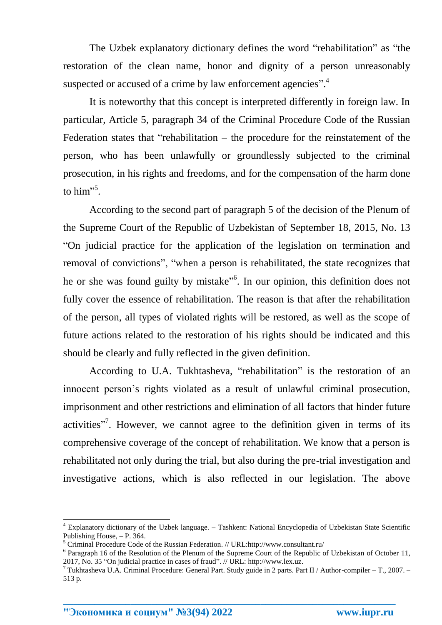The Uzbek explanatory dictionary defines the word "rehabilitation" as "the restoration of the clean name, honor and dignity of a person unreasonably suspected or accused of a crime by law enforcement agencies".<sup>4</sup>

It is noteworthy that this concept is interpreted differently in foreign law. In particular, Article 5, paragraph 34 of the Criminal Procedure Code of the Russian Federation states that "rehabilitation – the procedure for the reinstatement of the person, who has been unlawfully or groundlessly subjected to the criminal prosecution, in his rights and freedoms, and for the compensation of the harm done to him"<sup>5</sup>.

According to the second part of paragraph 5 of the decision of the Plenum of the Supreme Court of the Republic of Uzbekistan of September 18, 2015, No. 13 "On judicial practice for the application of the legislation on termination and removal of convictions", "when a person is rehabilitated, the state recognizes that he or she was found guilty by mistake<sup>16</sup>. In our opinion, this definition does not fully cover the essence of rehabilitation. The reason is that after the rehabilitation of the person, all types of violated rights will be restored, as well as the scope of future actions related to the restoration of his rights should be indicated and this should be clearly and fully reflected in the given definition.

According to U.A. Tukhtasheva, "rehabilitation" is the restoration of an innocent person's rights violated as a result of unlawful criminal prosecution, imprisonment and other restrictions and elimination of all factors that hinder future activities"<sup>7</sup>. However, we cannot agree to the definition given in terms of its comprehensive coverage of the concept of rehabilitation. We know that a person is rehabilitated not only during the trial, but also during the pre-trial investigation and investigative actions, which is also reflected in our legislation. The above

**\_\_\_\_\_\_\_\_\_\_\_\_\_\_\_\_\_\_\_\_\_\_\_\_\_\_\_\_\_\_\_\_\_\_\_\_\_\_\_\_\_\_\_\_\_\_\_\_\_\_\_\_\_\_\_\_\_\_\_\_\_\_\_\_**

 $\overline{a}$ 

<sup>4</sup> Explanatory dictionary of the Uzbek language. – Tashkent: National Encyclopedia of Uzbekistan State Scientific Publishing House, – P. 364.

<sup>5</sup> Criminal Procedure Code of the Russian Federation. // URL:http://www.consultant.ru/

<sup>&</sup>lt;sup>6</sup> Paragraph 16 of the Resolution of the Plenum of the Supreme Court of the Republic of Uzbekistan of October 11, 2017, No. 35 "On judicial practice in cases of fraud". // URL: http://www.lex.uz.

<sup>7</sup> Tukhtasheva U.A. Criminal Procedure: General Part. Study guide in 2 parts. Part II / Author-compiler – T., 2007. – 513 p.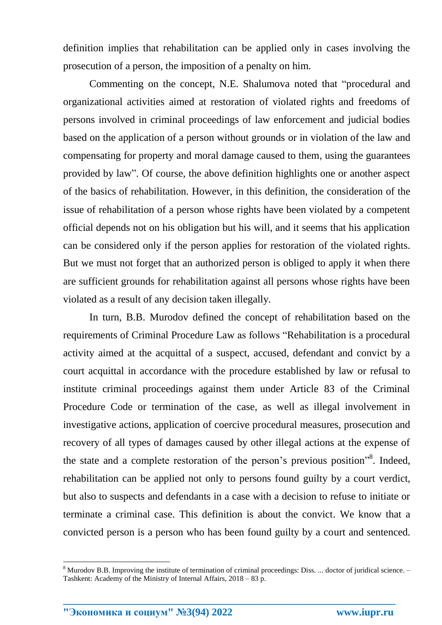definition implies that rehabilitation can be applied only in cases involving the prosecution of a person, the imposition of a penalty on him.

Commenting on the concept, N.E. Shalumova noted that "procedural and organizational activities aimed at restoration of violated rights and freedoms of persons involved in criminal proceedings of law enforcement and judicial bodies based on the application of a person without grounds or in violation of the law and compensating for property and moral damage caused to them, using the guarantees provided by law". Of course, the above definition highlights one or another aspect of the basics of rehabilitation. However, in this definition, the consideration of the issue of rehabilitation of a person whose rights have been violated by a competent official depends not on his obligation but his will, and it seems that his application can be considered only if the person applies for restoration of the violated rights. But we must not forget that an authorized person is obliged to apply it when there are sufficient grounds for rehabilitation against all persons whose rights have been violated as a result of any decision taken illegally.

In turn, B.B. Murodov defined the concept of rehabilitation based on the requirements of Criminal Procedure Law as follows "Rehabilitation is a procedural activity aimed at the acquittal of a suspect, accused, defendant and convict by a court acquittal in accordance with the procedure established by law or refusal to institute criminal proceedings against them under Article 83 of the Criminal Procedure Code or termination of the case, as well as illegal involvement in investigative actions, application of coercive procedural measures, prosecution and recovery of all types of damages caused by other illegal actions at the expense of the state and a complete restoration of the person's previous position"<sup>8</sup>. Indeed, rehabilitation can be applied not only to persons found guilty by a court verdict, but also to suspects and defendants in a case with a decision to refuse to initiate or terminate a criminal case. This definition is about the convict. We know that a convicted person is a person who has been found guilty by a court and sentenced.

**\_\_\_\_\_\_\_\_\_\_\_\_\_\_\_\_\_\_\_\_\_\_\_\_\_\_\_\_\_\_\_\_\_\_\_\_\_\_\_\_\_\_\_\_\_\_\_\_\_\_\_\_\_\_\_\_\_\_\_\_\_\_\_\_**

**"Экономика и социум" №3(94) 2022 www.iupr.ru**

**.** 

<sup>&</sup>lt;sup>8</sup> Murodov B.B. Improving the institute of termination of criminal proceedings: Diss. ... doctor of juridical science. – Tashkent: Academy of the Ministry of Internal Affairs, 2018 – 83 p.